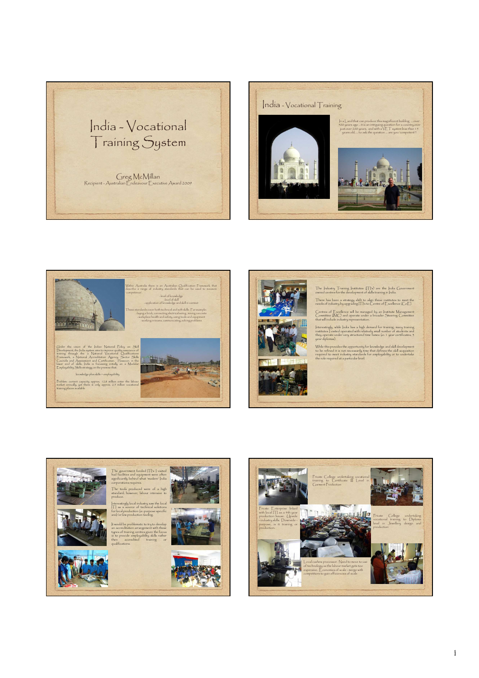







The Industry Training Institutes (ITI's) are the India Government owned centres for the development of skills training in India.

There has been a strategy shift to align these institutes to meet the needs of industry by upgrading ITI's to Centre of Excellence (CoE).

Centres of Excellence will be managed by an Institute Management Committee (IMC) and operate under a broader Steering Committee that will include industry representation.

Interestingly, while India has a high demand for training, many training institutes I visited operated with relatively small number of students and they operate under very structured time fames (ie: 1 year certificates, 3 year diplomas).

While this provides the opportunity for knowledge and skill development<br>to be refined it is not necessarily time that defines the skill acquisition<br>required to meet industry standards for employability or to undertake<br>the